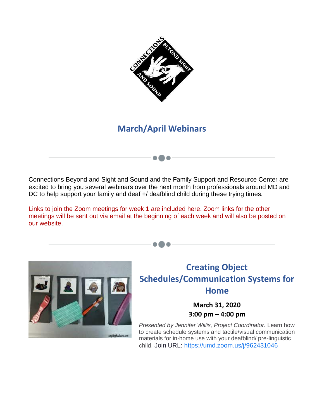

# **March/April Webinars**

Connections Beyond and Sight and Sound and the Family Support and Resource Center are excited to bring you several webinars over the next month from professionals around MD and DC to help support your family and deaf +/ deafblind child during these trying times.

Links to join the Zoom meetings for week 1 are included here. Zoom links for the other meetings will be sent out via email at the beginning of each week and will also be posted on our website.



### **Creating Object Schedules/Communication Systems for Home**

**March 31, 2020 3:00 pm – 4:00 pm** 

*Presented by Jennifer Willis, Project Coordinator.* Learn how to create schedule systems and tactile/visual communication materials for in-home use with your deafblind/ pre-linguistic child. Join URL: [https://umd.zoom.us/j/962431046](https://urldefense.com/v3/__http:/r20.rs6.net/tn.jsp?f=001smxVPl3Qo9P0Si4Tb3Pt4jayVlrfe9TXqN7ad3Ct5FuOyYtIlvIxLCEcbnsd9caQ3IPZ3anZOipC1sCUiFPyRPC5tRoS-0w-2sQXMuH3ZHS1_kgw92Q9ZYCRu0n9i91HLajU7H-wlc9jKiaHStm2yDQFkLjsRIwI&c=-586vX-d4mMQ4AgAFTAo7ZuToFPoDO4ImsNROjujxyZU9yisPMQNKQ==&ch=Gdt1CMxAX_sdk77zPH21Tv7yPSmHV_4PjNSoaShqlPpRKUioi71T1Q==__;!!JYXjzlvb!x3GWJWZQjM9DhTMHvmTfbVA9tsyXrjssm_onW1aLb3svdQpzxEEiYDLrCHTbLsc$)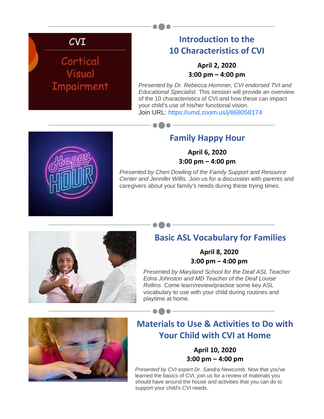# $CVI$

# Cortical Visual Impairment

# **Introduction to the 10 Characteristics of CVI**

#### **April 2, 2020 3:00 pm – 4:00 pm**

*Presented by Dr. Rebecca Hommer, CVI endorsed TVI and Educational Specialist.* This session will provide an overview of the 10 characteristics of CVI and how these can impact your child's use of his/her functional vision. Join URL: [https://umd.zoom.us/j/868058174](https://urldefense.com/v3/__http:/r20.rs6.net/tn.jsp?f=001smxVPl3Qo9P0Si4Tb3Pt4jayVlrfe9TXqN7ad3Ct5FuOyYtIlvIxLCEcbnsd9caQuSLMlP4EVGTj2lwGQFZORlHkIrMrBp8joYXTOnMVw6FzIG9euRSimP6a6hEjAHlGUtT5L8ZQto-DUVuoyz-eCSDj05nCjnrc&c=-586vX-d4mMQ4AgAFTAo7ZuToFPoDO4ImsNROjujxyZU9yisPMQNKQ==&ch=Gdt1CMxAX_sdk77zPH21Tv7yPSmHV_4PjNSoaShqlPpRKUioi71T1Q==__;!!JYXjzlvb!x3GWJWZQjM9DhTMHvmTfbVA9tsyXrjssm_onW1aLb3svdQpzxEEiYDLrAIdhAT4$)



### **Family Happy Hour**

**April 6, 2020 3:00 pm – 4:00 pm** 

*Presented by Cheri Dowling of the Family Support and Resource Center and Jennifer Willis.* Join us for a discussion with parents and caregivers about your family's needs during these trying times.



## **Basic ASL Vocabulary for Families**

**April 8, 2020 3:00 pm – 4:00 pm**

*Presented by Maryland School for the Deaf ASL Teacher Edna Johnston and MD Teacher of the Deaf Louise Rollins.* Come learn/review/practice some key ASL vocabulary to use with your child during routines and playtime at home.



# **Materials to Use & Activities to Do with Your Child with CVI at Home**

#### **April 10, 2020 3:00 pm – 4:00 pm**

*Presented by CVI expert Dr. Sandra Newcomb*. Now that you've learned the basics of CVI, join us for a review of materials you should have around the house and activities that you can do to support your child's CVI needs.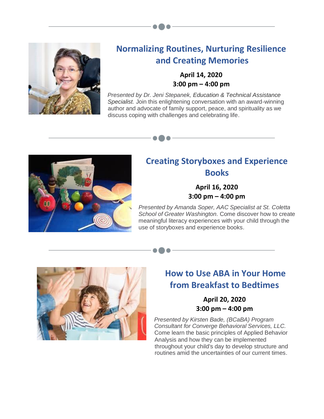

## **Normalizing Routines, Nurturing Resilience and Creating Memories**

#### **April 14, 2020 3:00 pm – 4:00 pm**

*Presented by Dr. Jeni Stepanek, Education & Technical Assistance Specialist.* Join this enlightening conversation with an award-winning author and advocate of family support, peace, and spirituality as we discuss coping with challenges and celebrating life.



# **Creating Storyboxes and Experience Books**

**April 16, 2020 3:00 pm – 4:00 pm** 

*Presented by Amanda Soper, AAC Specialist at St. Coletta School of Greater Washington.* Come discover how to create meaningful literacy experiences with your child through the use of storyboxes and experience books.



# **How to Use ABA in Your Home from Breakfast to Bedtimes**

**April 20, 2020 3:00 pm – 4:00 pm** 

*Presented by Kirsten Bade, (BCaBA) Program Consultant for Converge Behavioral Services, LLC.* Come learn the basic principles of Applied Behavior Analysis and how they can be implemented throughout your child's day to develop structure and routines amid the uncertainties of our current times.